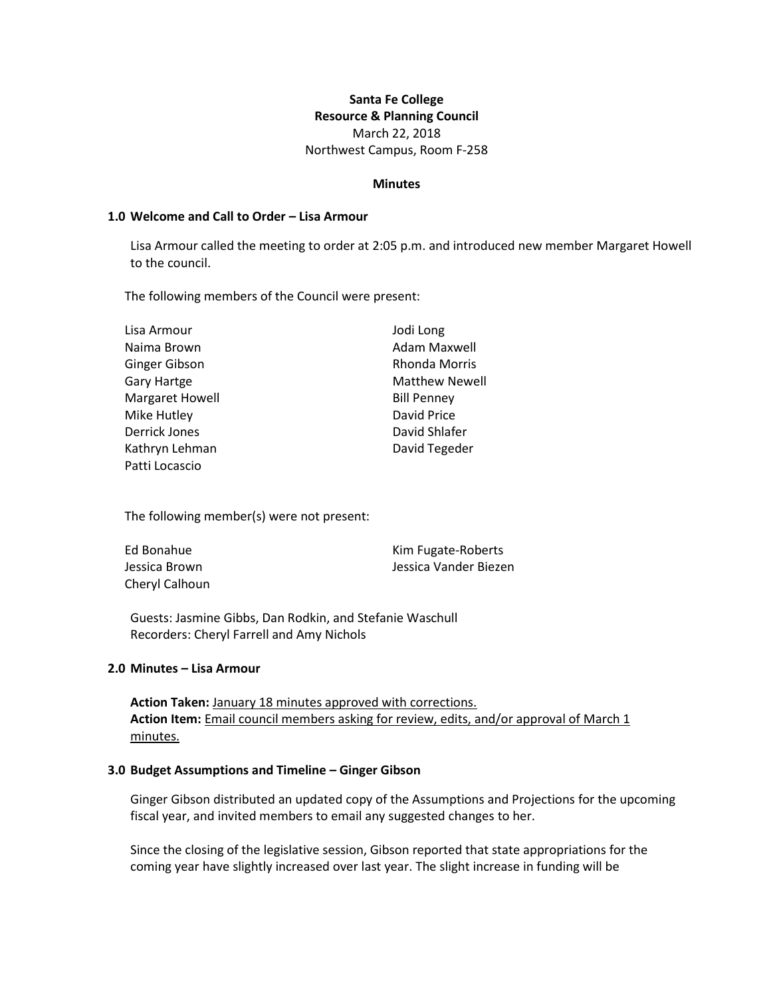# **Santa Fe College Resource & Planning Council** March 22, 2018 Northwest Campus, Room F-258

#### **Minutes**

#### **1.0 Welcome and Call to Order – Lisa Armour**

Lisa Armour called the meeting to order at 2:05 p.m. and introduced new member Margaret Howell to the council.

The following members of the Council were present:

| Lisa Armour     | Jodi Long             |
|-----------------|-----------------------|
| Naima Brown     | Adam Maxwell          |
| Ginger Gibson   | <b>Rhonda Morris</b>  |
| Gary Hartge     | <b>Matthew Newell</b> |
| Margaret Howell | <b>Bill Penney</b>    |
| Mike Hutley     | David Price           |
| Derrick Jones   | David Shlafer         |
| Kathryn Lehman  | David Tegeder         |
| Patti Locascio  |                       |

The following member(s) were not present:

| Ed Bonahue     | Kim Fugate-Roberts    |
|----------------|-----------------------|
| Jessica Brown  | Jessica Vander Biezen |
| Chervl Calhoun |                       |

Guests: Jasmine Gibbs, Dan Rodkin, and Stefanie Waschull Recorders: Cheryl Farrell and Amy Nichols

#### **2.0 Minutes – Lisa Armour**

**Action Taken:** January 18 minutes approved with corrections. **Action Item:** Email council members asking for review, edits, and/or approval of March 1 minutes.

#### **3.0 Budget Assumptions and Timeline – Ginger Gibson**

Ginger Gibson distributed an updated copy of the Assumptions and Projections for the upcoming fiscal year, and invited members to email any suggested changes to her.

Since the closing of the legislative session, Gibson reported that state appropriations for the coming year have slightly increased over last year. The slight increase in funding will be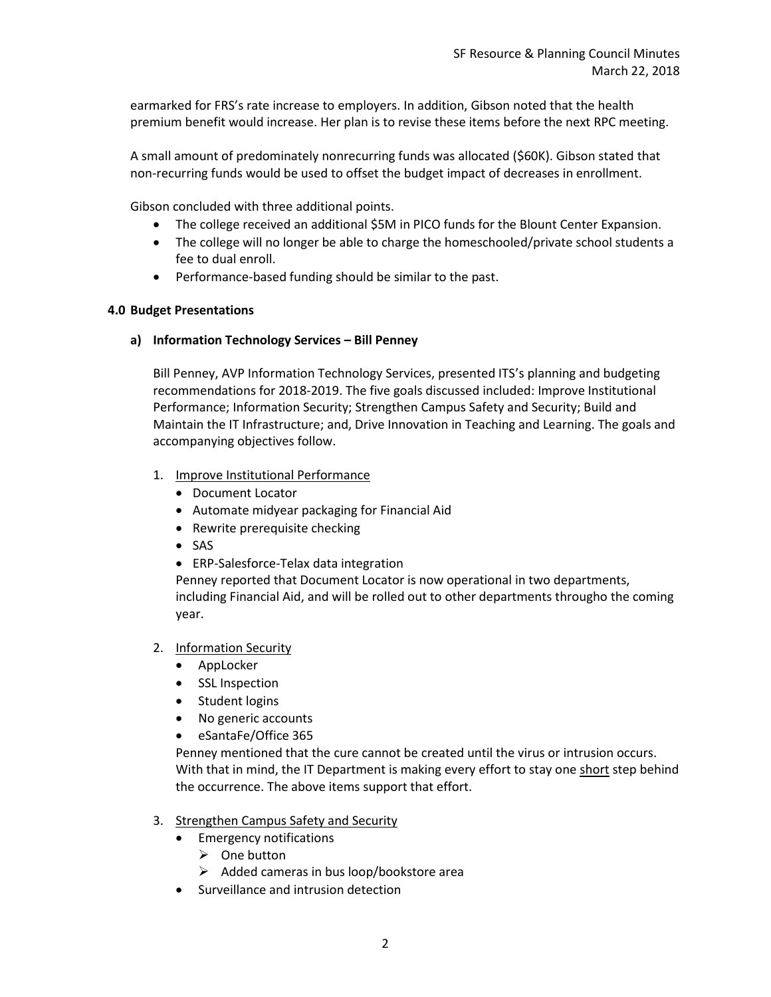earmarked for FRS's rate increase to employers. In addition, Gibson noted that the health premium benefit would increase. Her plan is to revise these items before the next RPC meeting.

A small amount of predominately nonrecurring funds was allocated (\$60K). Gibson stated that non-recurring funds would be used to offset the budget impact of decreases in enrollment.

Gibson concluded with three additional points.

- The college received an additional \$5M in PICO funds for the Blount Center Expansion.
- The college will no longer be able to charge the homeschooled/private school students a fee to dual enroll.
- Performance-based funding should be similar to the past.

# **4.0 Budget Presentations**

# **a) Information Technology Services – Bill Penney**

Bill Penney, AVP Information Technology Services, presented ITS's planning and budgeting recommendations for 2018-2019. The five goals discussed included: Improve Institutional Performance; Information Security; Strengthen Campus Safety and Security; Build and Maintain the IT Infrastructure; and, Drive Innovation in Teaching and Learning. The goals and accompanying objectives follow.

- 1. Improve Institutional Performance
	- Document Locator
	- Automate midyear packaging for Financial Aid
	- Rewrite prerequisite checking
	- SAS
	- ERP-Salesforce-Telax data integration

Penney reported that Document Locator is now operational in two departments, including Financial Aid, and will be rolled out to other departments througho the coming year.

- 2. Information Security
	- AppLocker
	- SSL Inspection
	- Student logins
	- No generic accounts
	- eSantaFe/Office 365

Penney mentioned that the cure cannot be created until the virus or intrusion occurs. With that in mind, the IT Department is making every effort to stay one short step behind the occurrence. The above items support that effort.

# 3. Strengthen Campus Safety and Security

- **•** Emergency notifications
	- $\triangleright$  One button
	- $\triangleright$  Added cameras in bus loop/bookstore area
- Surveillance and intrusion detection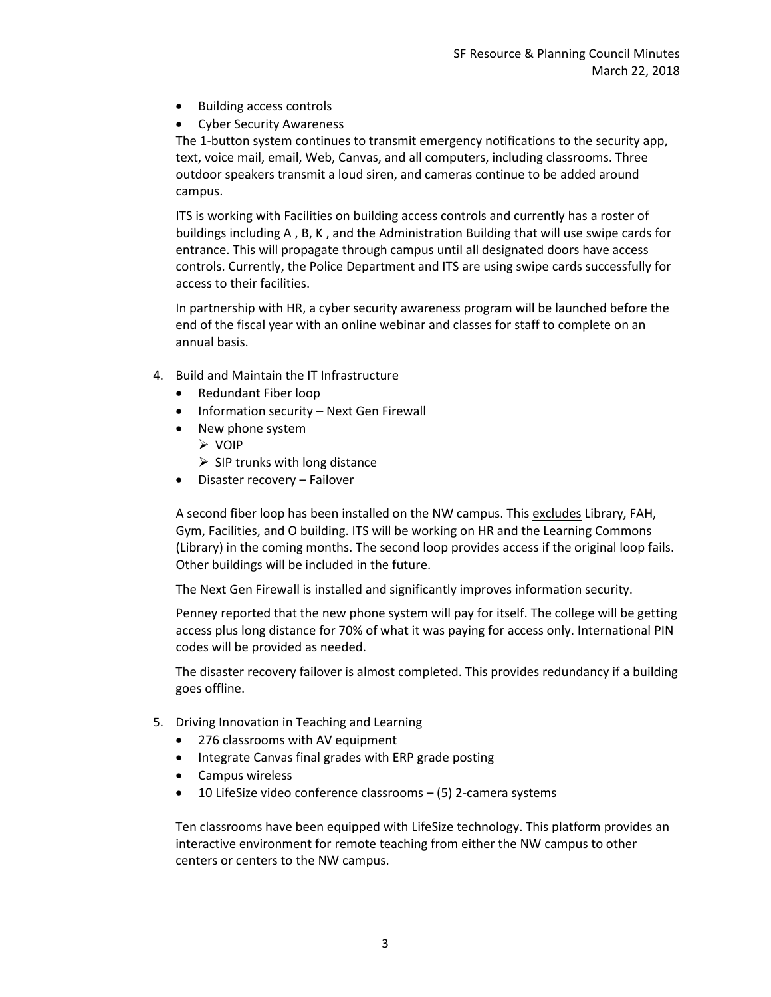- Building access controls
- Cyber Security Awareness

The 1-button system continues to transmit emergency notifications to the security app, text, voice mail, email, Web, Canvas, and all computers, including classrooms. Three outdoor speakers transmit a loud siren, and cameras continue to be added around campus.

ITS is working with Facilities on building access controls and currently has a roster of buildings including A , B, K , and the Administration Building that will use swipe cards for entrance. This will propagate through campus until all designated doors have access controls. Currently, the Police Department and ITS are using swipe cards successfully for access to their facilities.

In partnership with HR, a cyber security awareness program will be launched before the end of the fiscal year with an online webinar and classes for staff to complete on an annual basis.

- 4. Build and Maintain the IT Infrastructure
	- Redundant Fiber loop
	- Information security Next Gen Firewall
	- New phone system
		- VOIP
		- $\triangleright$  SIP trunks with long distance
	- Disaster recovery Failover

A second fiber loop has been installed on the NW campus. This excludes Library, FAH, Gym, Facilities, and O building. ITS will be working on HR and the Learning Commons (Library) in the coming months. The second loop provides access if the original loop fails. Other buildings will be included in the future.

The Next Gen Firewall is installed and significantly improves information security.

Penney reported that the new phone system will pay for itself. The college will be getting access plus long distance for 70% of what it was paying for access only. International PIN codes will be provided as needed.

The disaster recovery failover is almost completed. This provides redundancy if a building goes offline.

- 5. Driving Innovation in Teaching and Learning
	- 276 classrooms with AV equipment
	- Integrate Canvas final grades with ERP grade posting
	- Campus wireless
	- 10 LifeSize video conference classrooms (5) 2-camera systems

Ten classrooms have been equipped with LifeSize technology. This platform provides an interactive environment for remote teaching from either the NW campus to other centers or centers to the NW campus.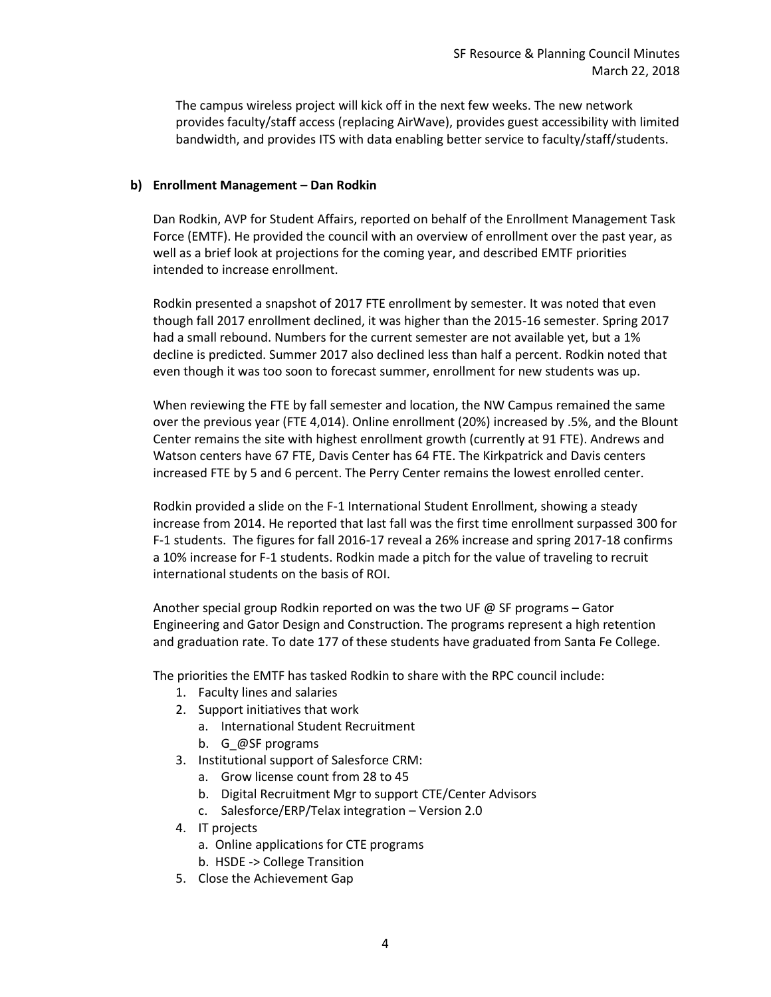The campus wireless project will kick off in the next few weeks. The new network provides faculty/staff access (replacing AirWave), provides guest accessibility with limited bandwidth, and provides ITS with data enabling better service to faculty/staff/students.

# **b) Enrollment Management – Dan Rodkin**

Dan Rodkin, AVP for Student Affairs, reported on behalf of the Enrollment Management Task Force (EMTF). He provided the council with an overview of enrollment over the past year, as well as a brief look at projections for the coming year, and described EMTF priorities intended to increase enrollment.

Rodkin presented a snapshot of 2017 FTE enrollment by semester. It was noted that even though fall 2017 enrollment declined, it was higher than the 2015-16 semester. Spring 2017 had a small rebound. Numbers for the current semester are not available yet, but a 1% decline is predicted. Summer 2017 also declined less than half a percent. Rodkin noted that even though it was too soon to forecast summer, enrollment for new students was up.

When reviewing the FTE by fall semester and location, the NW Campus remained the same over the previous year (FTE 4,014). Online enrollment (20%) increased by .5%, and the Blount Center remains the site with highest enrollment growth (currently at 91 FTE). Andrews and Watson centers have 67 FTE, Davis Center has 64 FTE. The Kirkpatrick and Davis centers increased FTE by 5 and 6 percent. The Perry Center remains the lowest enrolled center.

Rodkin provided a slide on the F-1 International Student Enrollment, showing a steady increase from 2014. He reported that last fall was the first time enrollment surpassed 300 for F-1 students. The figures for fall 2016-17 reveal a 26% increase and spring 2017-18 confirms a 10% increase for F-1 students. Rodkin made a pitch for the value of traveling to recruit international students on the basis of ROI.

Another special group Rodkin reported on was the two UF @ SF programs – Gator Engineering and Gator Design and Construction. The programs represent a high retention and graduation rate. To date 177 of these students have graduated from Santa Fe College.

The priorities the EMTF has tasked Rodkin to share with the RPC council include:

- 1. Faculty lines and salaries
- 2. Support initiatives that work
	- a. International Student Recruitment
	- b. G\_@SF programs
- 3. Institutional support of Salesforce CRM:
	- a. Grow license count from 28 to 45
	- b. Digital Recruitment Mgr to support CTE/Center Advisors
	- c. Salesforce/ERP/Telax integration Version 2.0
- 4. IT projects
	- a. Online applications for CTE programs
	- b. HSDE -> College Transition
- 5. Close the Achievement Gap